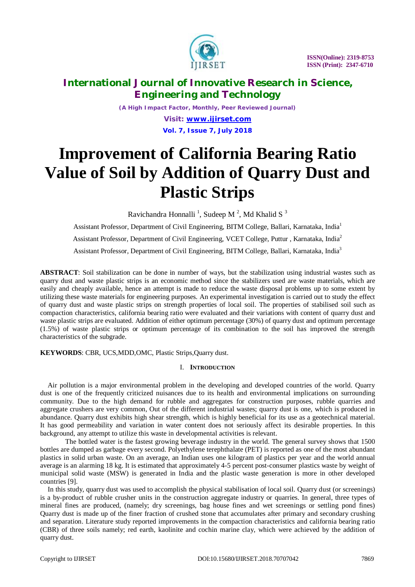

*(A High Impact Factor, Monthly, Peer Reviewed Journal)*

*Visit: [www.ijirset.com](http://www.ijirset.com)* **Vol. 7, Issue 7, July 2018**

# **Improvement of California Bearing Ratio Value of Soil by Addition of Quarry Dust and Plastic Strips**

Ravichandra Honnalli<sup>1</sup>, Sudeep M<sup>2</sup>, Md Khalid S<sup>3</sup>

Assistant Professor, Department of Civil Engineering, BITM College, Ballari, Karnataka, India<sup>1</sup> Assistant Professor, Department of Civil Engineering, VCET College, Puttur , Karnataka, India<sup>2</sup> Assistant Professor, Department of Civil Engineering, BITM College, Ballari, Karnataka, India<sup>3</sup>

**ABSTRACT**: Soil stabilization can be done in number of ways, but the stabilization using industrial wastes such as quarry dust and waste plastic strips is an economic method since the stabilizers used are waste materials, which are easily and cheaply available, hence an attempt is made to reduce the waste disposal problems up to some extent by utilizing these waste materials for engineering purposes. An experimental investigation is carried out to study the effect of quarry dust and waste plastic strips on strength properties of local soil. The properties of stabilised soil such as compaction characteristics, california bearing ratio were evaluated and their variations with content of quarry dust and waste plastic strips are evaluated. Addition of either optimum percentage (30%) of quarry dust and optimum percentage (1.5%) of waste plastic strips or optimum percentage of its combination to the soil has improved the strength characteristics of the subgrade.

### **KEYWORDS**: CBR, UCS,MDD,OMC, Plastic Strips,Quarry dust.

### I. **INTRODUCTION**

Air pollution is a major environmental problem in the developing and developed countries of the world. Quarry dust is one of the frequently criticized nuisances due to its health and environmental implications on surrounding community. Due to the high demand for rubble and aggregates for construction purposes, rubble quarries and aggregate crushers are very common, Out of the different industrial wastes; quarry dust is one, which is produced in abundance. Quarry dust exhibits high shear strength, which is highly beneficial for its use as a geotechnical material. It has good permeability and variation in water content does not seriously affect its desirable properties. In this background, any attempt to utilize this waste in developmental activities is relevant.

The bottled water is the fastest growing beverage industry in the world. The general survey shows that 1500 bottles are dumped as garbage every second. Polyethylene terephthalate (PET) is reported as one of the most abundant plastics in solid urban waste. On an average, an Indian uses one kilogram of plastics per year and the world annual average is an alarming 18 kg. It is estimated that approximately 4-5 percent post-consumer plastics waste by weight of municipal solid waste (MSW) is generated in India and the plastic waste generation is more in other developed countries [9].

In this study, quarry dust was used to accomplish the physical stabilisation of local soil. Quarry dust (or screenings) is a by-product of rubble crusher units in the construction aggregate industry or quarries. In general, three types of mineral fines are produced, (namely; dry screenings, bag house fines and wet screenings or settling pond fines) Quarry dust is made up of the finer fraction of crushed stone that accumulates after primary and secondary crushing and separation. Literature study reported improvements in the compaction characteristics and california bearing ratio (CBR) of three soils namely; red earth, kaolinite and cochin marine clay, which were achieved by the addition of quarry dust.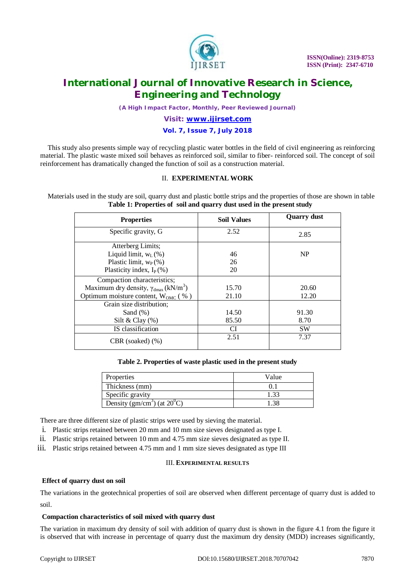

*(A High Impact Factor, Monthly, Peer Reviewed Journal)*

### *Visit: [www.ijirset.com](http://www.ijirset.com)*

### **Vol. 7, Issue 7, July 2018**

This study also presents simple way of recycling plastic water bottles in the field of civil engineering as reinforcing material. The plastic waste mixed soil behaves as reinforced soil, similar to fiber- reinforced soil. The concept of soil reinforcement has dramatically changed the function of soil as a construction material.

### II. **EXPERIMENTAL WORK**

Materials used in the study are soil, quarry dust and plastic bottle strips and the properties of those are shown in table **Table 1: Properties of soil and quarry dust used in the present study**

| <b>Properties</b>                                                | <b>Soil Values</b> | <b>Quarry dust</b> |
|------------------------------------------------------------------|--------------------|--------------------|
| Specific gravity, G                                              | 2.52               | 2.85               |
| Atterberg Limits;                                                |                    |                    |
| Liquid limit, $w_L$ (%)                                          | 46                 | NP                 |
| Plastic limit, $W_P$ (%)                                         | 26                 |                    |
| Plasticity index, $I_P$ (%)                                      | 20                 |                    |
| Compaction characteristics;                                      |                    |                    |
| Maximum dry density, $\gamma_{\text{dmax}}$ (kN/m <sup>3</sup> ) | 15.70              | 20.60              |
| Optimum moisture content, $W_{OMC}$ (%)                          | 21.10              | 12.20              |
| Grain size distribution;                                         |                    |                    |
| Sand $(\%)$                                                      | 14.50              | 91.30              |
| Silt & Clay $(\%)$                                               | 85.50              | 8.70               |
| IS classification                                                | CI                 | <b>SW</b>          |
| $CBR$ (soaked) $(\%)$                                            | 2.51               | 7.37               |

#### **Table 2. Properties of waste plastic used in the present study**

| Properties                                        | Value |
|---------------------------------------------------|-------|
| Thickness (mm)                                    |       |
| Specific gravity                                  |       |
| Density (gm/cm <sup>3</sup> ) (at $20^{\circ}$ C) |       |

There are three different size of plastic strips were used by sieving the material.

- i. Plastic strips retained between 20 mm and 10 mm size sieves designated as type I.
- ii. Plastic strips retained between 10 mm and 4.75 mm size sieves designated as type II.
- iii. Plastic strips retained between 4.75 mm and 1 mm size sieves designated as type III

### III. **EXPERIMENTAL RESULTS**

### **Effect of quarry dust on soil**

The variations in the geotechnical properties of soil are observed when different percentage of quarry dust is added to soil.

### **Compaction characteristics of soil mixed with quarry dust**

The variation in maximum dry density of soil with addition of quarry dust is shown in the figure 4.1 from the figure it is observed that with increase in percentage of quarry dust the maximum dry density (MDD) increases significantly,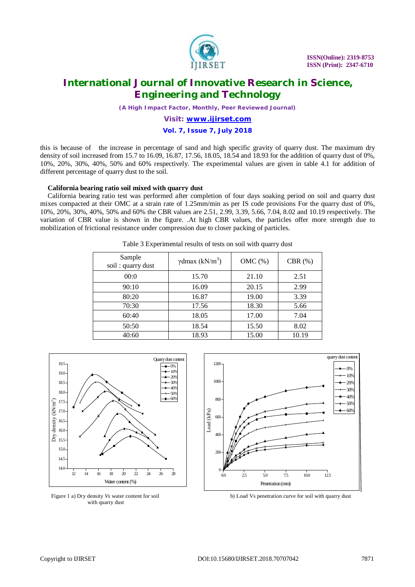

*(A High Impact Factor, Monthly, Peer Reviewed Journal)*

### *Visit: [www.ijirset.com](http://www.ijirset.com)*

### **Vol. 7, Issue 7, July 2018**

this is because of the increase in percentage of sand and high specific gravity of quarry dust. The maximum dry density of soil increased from 15.7 to 16.09, 16.87, 17.56, 18.05, 18.54 and 18.93 for the addition of quarry dust of 0%, 10%, 20%, 30%, 40%, 50% and 60% respectively. The experimental values are given in table 4.1 for addition of different percentage of quarry dust to the soil.

#### **California bearing ratio soil mixed with quarry dust**

California bearing ratio test was performed after completion of four days soaking period on soil and quarry dust mixes compacted at their OMC at a strain rate of 1.25mm/min as per IS code provisions For the quarry dust of 0%, 10%, 20%, 30%, 40%, 50% and 60% the CBR values are 2.51, 2.99, 3.39, 5.66, 7.04, 8.02 and 10.19 respectively. The variation of CBR value is shown in the figure. .At high CBR values, the particles offer more strength due to mobilization of frictional resistance under compression due to closer packing of particles.

| Sample<br>soil: quarry dust | $\gamma$ dmax (kN/m <sup>3</sup> ) | OMC(%) | CBR $(\%)$ |
|-----------------------------|------------------------------------|--------|------------|
| 00:0                        | 15.70                              | 21.10  | 2.51       |
| 90:10                       | 16.09                              | 20.15  | 2.99       |
| 80:20                       | 16.87                              | 19.00  | 3.39       |
| 70:30                       | 17.56                              | 18.30  | 5.66       |
| 60:40                       | 18.05                              | 17.00  | 7.04       |
| 50:50                       | 18.54                              | 15.50  | 8.02       |
| 40:60                       | 18.93                              | 15.00  | 10.19      |

Table 3 Experimental results of tests on soil with quarry dust



with quarry dust



Figure 1 a) Dry density *Vs* water content for soil **b**) Load Vs penetration curve for soil with quarry dust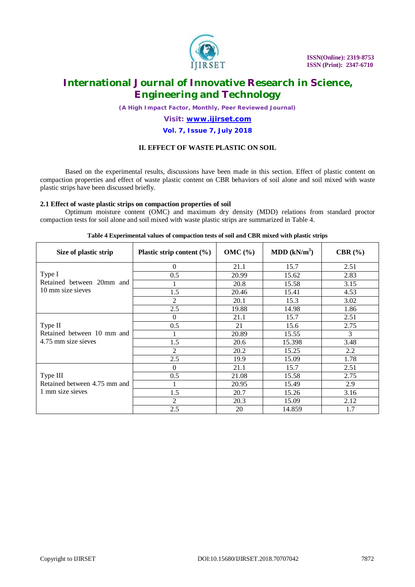

*(A High Impact Factor, Monthly, Peer Reviewed Journal)*

### *Visit: [www.ijirset.com](http://www.ijirset.com)*

### **Vol. 7, Issue 7, July 2018**

### **II. EFFECT OF WASTE PLASTIC ON SOIL**

Based on the experimental results, discussions have been made in this section. Effect of plastic content on compaction properties and effect of waste plastic content on CBR behaviors of soil alone and soil mixed with waste plastic strips have been discussed briefly.

### **2.1 Effect of waste plastic strips on compaction properties of soil**

Optimum moisture content (OMC) and maximum dry density (MDD) relations from standard proctor compaction tests for soil alone and soil mixed with waste plastic strips are summarized in Table 4.

| Size of plastic strip                                        | Plastic strip content $(\% )$ | $OMC(\% )$ | MDD $(kN/m^3)$ | CBR $(\% )$ |
|--------------------------------------------------------------|-------------------------------|------------|----------------|-------------|
| Type I<br>Retained between 20mm and<br>10 mm size sieves     | 0                             | 21.1       | 15.7           | 2.51        |
|                                                              | 0.5                           | 20.99      | 15.62          | 2.83        |
|                                                              |                               | 20.8       | 15.58          | 3.15        |
|                                                              | 1.5                           | 20.46      | 15.41          | 4.53        |
|                                                              | 2                             | 20.1       | 15.3           | 3.02        |
|                                                              | 2.5                           | 19.88      | 14.98          | 1.86        |
| Type II<br>Retained between 10 mm and<br>4.75 mm size sieves | 0                             | 21.1       | 15.7           | 2.51        |
|                                                              | 0.5                           | 21         | 15.6           | 2.75        |
|                                                              |                               | 20.89      | 15.55          | 3           |
|                                                              | 1.5                           | 20.6       | 15.398         | 3.48        |
|                                                              | 2                             | 20.2       | 15.25          | 2.2         |
|                                                              | 2.5                           | 19.9       | 15.09          | 1.78        |
| Type III<br>Retained between 4.75 mm and<br>1 mm size sieves | $\theta$                      | 21.1       | 15.7           | 2.51        |
|                                                              | 0.5                           | 21.08      | 15.58          | 2.75        |
|                                                              |                               | 20.95      | 15.49          | 2.9         |
|                                                              | 1.5                           | 20.7       | 15.26          | 3.16        |
|                                                              | 2                             | 20.3       | 15.09          | 2.12        |
|                                                              | 2.5                           | 20         | 14.859         | 1.7         |

#### **Table 4 Experimental values of compaction tests of soil and CBR mixed with plastic strips**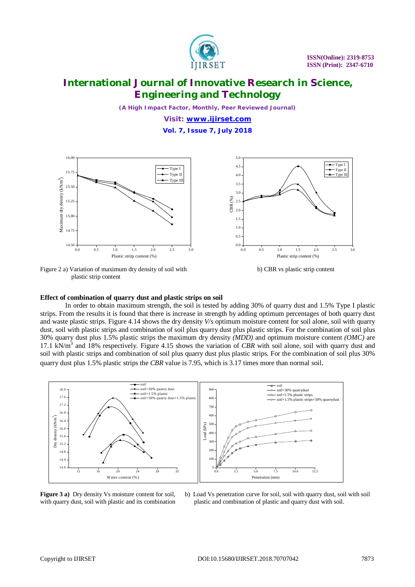

*(A High Impact Factor, Monthly, Peer Reviewed Journal)*

*Visit: [www.ijirset.com](http://www.ijirset.com)*

**Vol. 7, Issue 7, July 2018**



Figure 2 a) Variation of maximum dry density of soil with b) CBR vs plastic strip content plastic strip content



### **Effect of combination of quarry dust and plastic strips on soil**

In order to obtain maximum strength, the soil is tested by adding 30% of quarry dust and 1.5% Type I plastic strips. From the results it is found that there is increase in strength by adding optimum percentages of both quarry dust and waste plastic strips. Figure 4.14 shows the dry density *V/s* optimum moisture content for soil alone, soil with quarry dust, soil with plastic strips and combination of soil plus quarry dust plus plastic strips. For the combination of soil plus 30% quarry dust plus 1.5% plastic strips the maximum dry density *(MDD)* and optimum moisture content *(OMC)* are 17.1 kN/m<sup>3</sup> and 18% respectively. Figure 4.15 shows the variation of *CBR* with soil alone, soil with quarry dust and soil with plastic strips and combination of soil plus quarry dust plus plastic strips. For the combination of soil plus 30% quarry dust plus 1.5% plastic strips the *CBR* value is 7.95, which is 3.17 times more than normal soil.



**Figure 3 a)** Dry density Vs moisture content for soil, b) Load Vs penetration curve for soil, soil with quarry dust, soil with soil with quarry dust, soil with plastic and its combination plastic and combination of plastic and quarry dust with soil.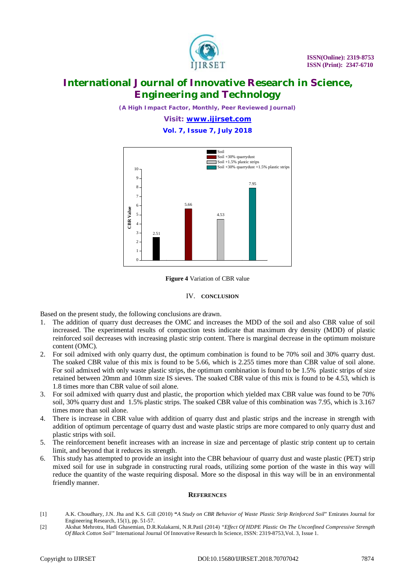

*(A High Impact Factor, Monthly, Peer Reviewed Journal)*

*Visit: [www.ijirset.com](http://www.ijirset.com)*

**Vol. 7, Issue 7, July 2018**



**Figure 4** Variation of CBR value

#### IV. **CONCLUSION**

Based on the present study, the following conclusions are drawn.

- 1. The addition of quarry dust decreases the OMC and increases the MDD of the soil and also CBR value of soil increased. The experimental results of compaction tests indicate that maximum dry density (MDD) of plastic reinforced soil decreases with increasing plastic strip content. There is marginal decrease in the optimum moisture content (OMC).
- 2. For soil admixed with only quarry dust, the optimum combination is found to be 70% soil and 30% quarry dust. The soaked CBR value of this mix is found to be 5.66, which is 2.255 times more than CBR value of soil alone. For soil admixed with only waste plastic strips, the optimum combination is found to be 1.5% plastic strips of size retained between 20mm and 10mm size IS sieves. The soaked CBR value of this mix is found to be 4.53, which is 1.8 times more than CBR value of soil alone.
- 3. For soil admixed with quarry dust and plastic, the proportion which yielded max CBR value was found to be 70% soil, 30% quarry dust and 1.5% plastic strips. The soaked CBR value of this combination was 7.95, which is 3.167 times more than soil alone.
- 4. There is increase in CBR value with addition of quarry dust and plastic strips and the increase in strength with addition of optimum percentage of quarry dust and waste plastic strips are more compared to only quarry dust and plastic strips with soil.
- 5. The reinforcement benefit increases with an increase in size and percentage of plastic strip content up to certain limit, and beyond that it reduces its strength.
- 6. This study has attempted to provide an insight into the CBR behaviour of quarry dust and waste plastic (PET) strip mixed soil for use in subgrade in constructing rural roads, utilizing some portion of the waste in this way will reduce the quantity of the waste requiring disposal. More so the disposal in this way will be in an environmental friendly manner.

#### **REFERENCES**

- [1] A.K. Choudhary, J.N. Jha and K.S. Gill (2010) **"***A Study on CBR Behavior of Waste Plastic Strip Reinforced Soil*" Emirates Journal for Engineering Research, 15(1), pp. 51-57.
- [2] Akshat Mehrotra, Hadi Ghasemian, D.R.Kulakarni, N.R.Patil (2014) *"Effect Of HDPE Plastic On The Unconfined Compressive Strength Of Black Cotton Soil"* International Journal Of Innovative Research In Science, ISSN: 2319-8753,Vol. 3, Issue 1.